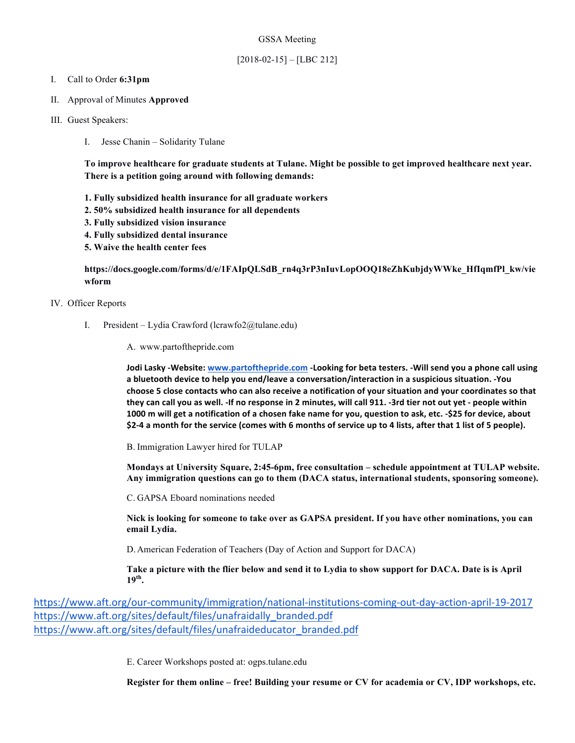#### GSSA Meeting

## [2018-02-15] – [LBC 212]

#### I. Call to Order **6:31pm**

- II. Approval of Minutes **Approved**
- III. Guest Speakers:
	- I. Jesse Chanin Solidarity Tulane

**To improve healthcare for graduate students at Tulane. Might be possible to get improved healthcare next year. There is a petition going around with following demands:**

- **1. Fully subsidized health insurance for all graduate workers**
- **2. 50% subsidized health insurance for all dependents**
- **3. Fully subsidized vision insurance**
- **4. Fully subsidized dental insurance**
- **5. Waive the health center fees**

## **https://docs.google.com/forms/d/e/1FAIpQLSdB\_rn4q3rP3nIuvLopOOQ18eZhKubjdyWWke\_HfIqmfPl\_kw/vie wform**

#### IV. Officer Reports

- I. President Lydia Crawford (lcrawfo2@tulane.edu)
	- A. www.partofthepride.com

**Jodi Lasky -Website:** www.partofthepride.com -Looking for beta testers. -Will send you a phone call using a bluetooth device to help you end/leave a conversation/interaction in a suspicious situation. -You choose 5 close contacts who can also receive a notification of your situation and your coordinates so that they can call you as well. -If no response in 2 minutes, will call 911. -3rd tier not out yet - people within **1000** m will get a notification of a chosen fake name for you, question to ask, etc. -\$25 for device, about \$2-4 a month for the service (comes with 6 months of service up to 4 lists, after that 1 list of 5 people).

B. Immigration Lawyer hired for TULAP

**Mondays at University Square, 2:45-6pm, free consultation – schedule appointment at TULAP website. Any immigration questions can go to them (DACA status, international students, sponsoring someone).**

C. GAPSA Eboard nominations needed

**Nick is looking for someone to take over as GAPSA president. If you have other nominations, you can email Lydia.**

D.American Federation of Teachers (Day of Action and Support for DACA)

**Take a picture with the flier below and send it to Lydia to show support for DACA. Date is is April 19th.**

https://www.aft.org/our-community/immigration/national-institutions-coming-out-day-action-april-19-2017 https://www.aft.org/sites/default/files/unafraidally\_branded.pdf https://www.aft.org/sites/default/files/unafraideducator\_branded.pdf

E. Career Workshops posted at: ogps.tulane.edu

**Register for them online – free! Building your resume or CV for academia or CV, IDP workshops, etc.**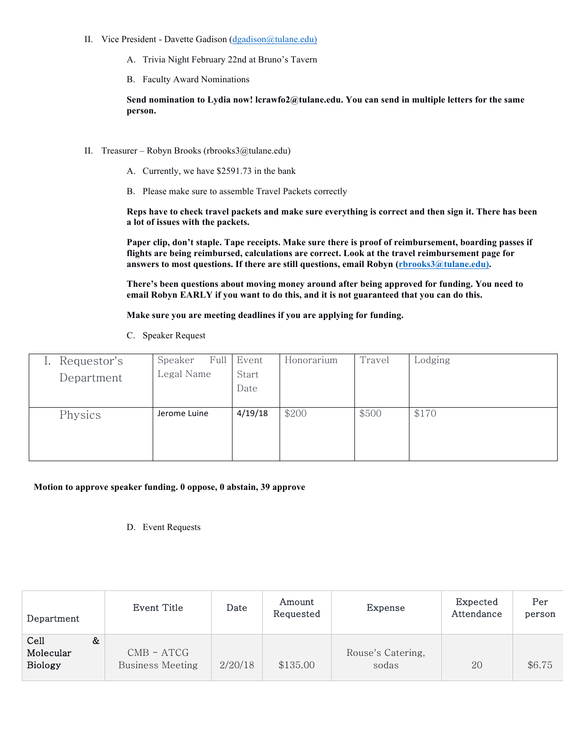- II. Vice President Davette Gadison (dgadison@tulane.edu)
	- A. Trivia Night February 22nd at Bruno's Tavern
	- B. Faculty Award Nominations

**Send nomination to Lydia now! lcrawfo2@tulane.edu. You can send in multiple letters for the same person.** 

- II. Treasurer Robyn Brooks (rbrooks3@tulane.edu)
	- A. Currently, we have \$2591.73 in the bank
	- B. Please make sure to assemble Travel Packets correctly

**Reps have to check travel packets and make sure everything is correct and then sign it. There has been a lot of issues with the packets.**

**Paper clip, don't staple. Tape receipts. Make sure there is proof of reimbursement, boarding passes if flights are being reimbursed, calculations are correct. Look at the travel reimbursement page for answers to most questions. If there are still questions, email Robyn (rbrooks3@tulane.edu).**

**There's been questions about moving money around after being approved for funding. You need to email Robyn EARLY if you want to do this, and it is not guaranteed that you can do this.** 

**Make sure you are meeting deadlines if you are applying for funding.** 

C. Speaker Request

| Requestor's | Full<br>Speaker | Event         | Honorarium | Travel | Lodging |
|-------------|-----------------|---------------|------------|--------|---------|
| Department  | Legal Name      | Start<br>Date |            |        |         |
| Physics     | Jerome Luine    | 4/19/18       | \$200      | \$500  | \$170   |
|             |                 |               |            |        |         |

## **Motion to approve speaker funding. 0 oppose, 0 abstain, 39 approve**

D. Event Requests

| Department                          | Event Title                           | Date    | Amount<br>Requested | Expense                    | Expected<br>Attendance | Per<br>person |
|-------------------------------------|---------------------------------------|---------|---------------------|----------------------------|------------------------|---------------|
| Cell<br>Molecular<br><b>Biology</b> | &<br>$CMB - ATCG$<br>Business Meeting | 2/20/18 | \$135.00            | Rouse's Catering,<br>sodas | 20                     | \$6.75        |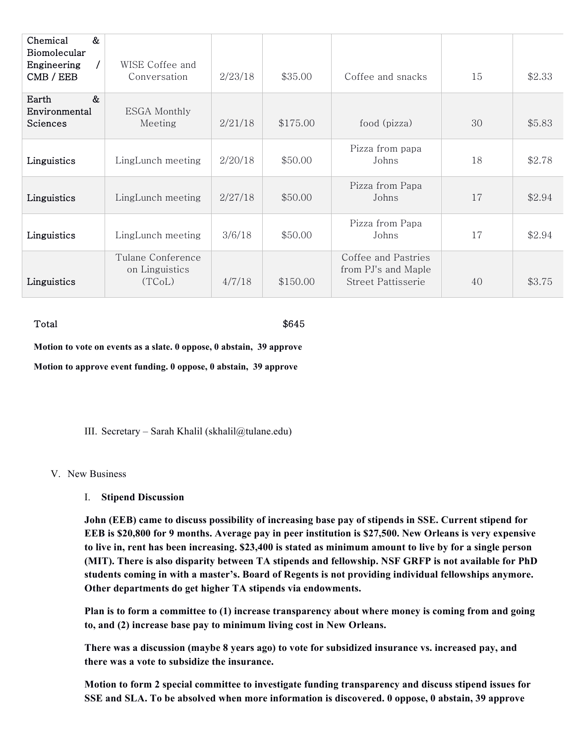| $\&$<br>Chemical<br>Biomolecular<br>Engineering<br>$\prime$<br>CMB / EEB | WISE Coffee and<br>Conversation               | 2/23/18 | \$35.00  | Coffee and snacks                                                | 15 | \$2.33 |
|--------------------------------------------------------------------------|-----------------------------------------------|---------|----------|------------------------------------------------------------------|----|--------|
| $\&$<br>Earth<br>Environmental<br>Sciences                               | <b>ESGA Monthly</b><br>Meeting                | 2/21/18 | \$175.00 | food (pizza)                                                     | 30 | \$5.83 |
| Linguistics                                                              | LingLunch meeting                             | 2/20/18 | \$50.00  | Pizza from papa<br>Johns                                         | 18 | \$2.78 |
| Linguistics                                                              | LingLunch meeting                             | 2/27/18 | \$50.00  | Pizza from Papa<br>Johns                                         | 17 | \$2.94 |
| Linguistics                                                              | LingLunch meeting                             | 3/6/18  | \$50.00  | Pizza from Papa<br>Johns                                         | 17 | \$2.94 |
| Linguistics                                                              | Tulane Conference<br>on Linguistics<br>(TCoL) | 4/7/18  | \$150.00 | Coffee and Pastries<br>from PJ's and Maple<br>Street Pattisserie | 40 | \$3.75 |

### $\text{Total}$   $\$645$

**Motion to vote on events as a slate. 0 oppose, 0 abstain, 39 approve**

**Motion to approve event funding. 0 oppose, 0 abstain, 39 approve**

III. Secretary – Sarah Khalil (skhalil@tulane.edu)

### V. New Business

I. **Stipend Discussion**

**John (EEB) came to discuss possibility of increasing base pay of stipends in SSE. Current stipend for EEB is \$20,800 for 9 months. Average pay in peer institution is \$27,500. New Orleans is very expensive to live in, rent has been increasing. \$23,400 is stated as minimum amount to live by for a single person (MIT). There is also disparity between TA stipends and fellowship. NSF GRFP is not available for PhD students coming in with a master's. Board of Regents is not providing individual fellowships anymore. Other departments do get higher TA stipends via endowments.**

**Plan is to form a committee to (1) increase transparency about where money is coming from and going to, and (2) increase base pay to minimum living cost in New Orleans.** 

**There was a discussion (maybe 8 years ago) to vote for subsidized insurance vs. increased pay, and there was a vote to subsidize the insurance.** 

**Motion to form 2 special committee to investigate funding transparency and discuss stipend issues for SSE and SLA. To be absolved when more information is discovered. 0 oppose, 0 abstain, 39 approve**